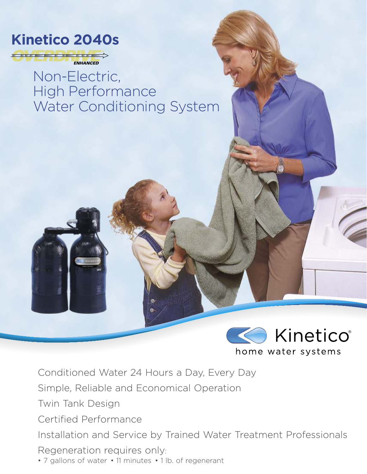

Non-Electric, High Performance Water Conditioning System



Conditioned Water 24 Hours a Day, Every Day

Simple, Reliable and Economical Operation

Twin Tank Design

Certified Performance

Installation and Service by Trained Water Treatment Professionals

Regeneration requires only:

• 7 gallons of water • 11 minutes • 1 lb. of regenerant